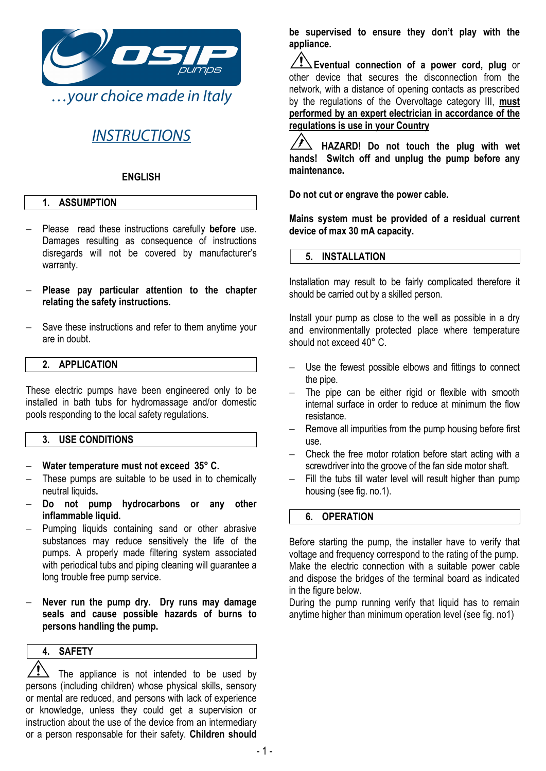

## **INSTRUCTIONS**

#### ENGLISH

#### 1. ASSUMPTION

- Please read these instructions carefully **before** use. Damages resulting as consequence of instructions disregards will not be covered by manufacturer's warranty.
- Please pay particular attention to the chapter relating the safety instructions.
- Save these instructions and refer to them anytime your are in doubt.

#### 2. APPLICATION

These electric pumps have been engineered only to be installed in bath tubs for hydromassage and/or domestic pools responding to the local safety regulations.

#### 3. USE CONDITIONS

- Water temperature must not exceed 35° C.
- These pumps are suitable to be used in to chemically neutral liquids.
- Do not pump hydrocarbons or any other inflammable liquid.
- Pumping liquids containing sand or other abrasive substances may reduce sensitively the life of the pumps. A properly made filtering system associated with periodical tubs and piping cleaning will guarantee a long trouble free pump service.
- Never run the pump dry. Dry runs may damage seals and cause possible hazards of burns to persons handling the pump.

#### 4. SAFETY

The appliance is not intended to be used by persons (including children) whose physical skills, sensory or mental are reduced, and persons with lack of experience or knowledge, unless they could get a supervision or instruction about the use of the device from an intermediary or a person responsable for their safety. Children should be supervised to ensure they don't play with the appliance.

 $\sqrt{!}$  Eventual connection of a power cord, plug or other device that secures the disconnection from the network, with a distance of opening contacts as prescribed by the regulations of the Overvoltage category III, must performed by an expert electrician in accordance of the regulations is use in your Country

HAZARD! Do not touch the plug with wet hands! Switch off and unplug the pump before any maintenance.

Do not cut or engrave the power cable.

Mains system must be provided of a residual current device of max 30 mA capacity.

#### 5. INSTALLATION

Installation may result to be fairly complicated therefore it should be carried out by a skilled person.

Install your pump as close to the well as possible in a dry and environmentally protected place where temperature should not exceed 40° C.

- Use the fewest possible elbows and fittings to connect the pipe.
- $-$  The pipe can be either rigid or flexible with smooth internal surface in order to reduce at minimum the flow resistance.
- Remove all impurities from the pump housing before first use.
- Check the free motor rotation before start acting with a screwdriver into the groove of the fan side motor shaft.
- Fill the tubs till water level will result higher than pump housing (see fig. no.1).

#### 6. OPERATION

Before starting the pump, the installer have to verify that voltage and frequency correspond to the rating of the pump. Make the electric connection with a suitable power cable and dispose the bridges of the terminal board as indicated in the figure below.

During the pump running verify that liquid has to remain anytime higher than minimum operation level (see fig. no1)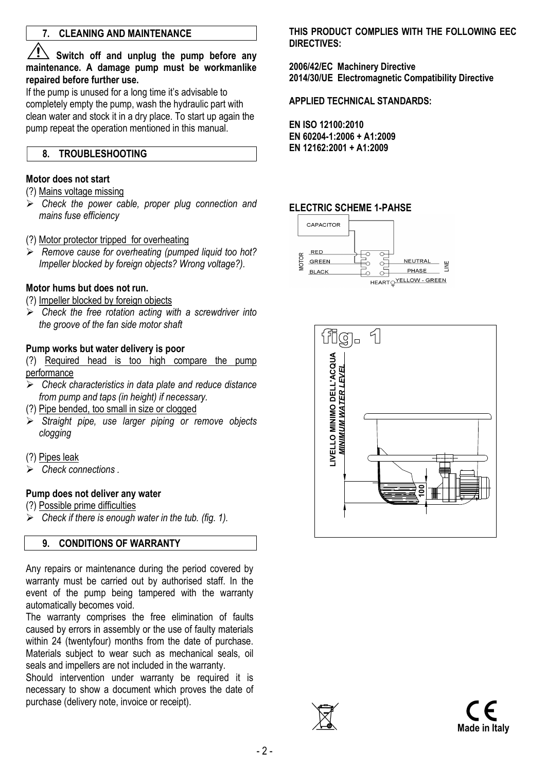## 7. CLEANING AND MAINTENANCE

 $\Delta$  Switch off and unplug the pump before any maintenance. A damage pump must be workmanlike repaired before further use.

If the pump is unused for a long time it's advisable to completely empty the pump, wash the hydraulic part with clean water and stock it in a dry place. To start up again the pump repeat the operation mentioned in this manual.

#### 8. TROUBLESHOOTING

#### Motor does not start

(?) Mains voltage missing

- $\triangleright$  Check the power cable, proper plug connection and mains fuse efficiency
- (?) Motor protector tripped for overheating
- $\triangleright$  Remove cause for overheating (pumped liquid too hot? Impeller blocked by foreign objects? Wrong voltage?).

#### Motor hums but does not run.

(?) Impeller blocked by foreign objects

 $\triangleright$  Check the free rotation acting with a screwdriver into the groove of the fan side motor shaft

#### Pump works but water delivery is poor

(?) Required head is too high compare the pump performance

- $\triangleright$  Check characteristics in data plate and reduce distance from pump and taps (in height) if necessary.
- (?) Pipe bended, too small in size or clogged
- Straight pipe, use larger piping or remove objects clogging
- (?) Pipes leak
- $\triangleright$  Check connections.

#### Pump does not deliver any water

- (?) Possible prime difficulties
- $\triangleright$  Check if there is enough water in the tub. (fig. 1).

#### 9. CONDITIONS OF WARRANTY

Any repairs or maintenance during the period covered by warranty must be carried out by authorised staff. In the event of the pump being tampered with the warranty automatically becomes void.

The warranty comprises the free elimination of faults caused by errors in assembly or the use of faulty materials within 24 (twentyfour) months from the date of purchase. Materials subject to wear such as mechanical seals, oil seals and impellers are not included in the warranty.

Should intervention under warranty be required it is necessary to show a document which proves the date of purchase (delivery note, invoice or receipt).

THIS PRODUCT COMPLIES WITH THE FOLLOWING FFC DIRECTIVES:

2006/42/EC Machinery Directive 2014/30/UE Electromagnetic Compatibility Directive

APPLIED TECHNICAL STANDARDS:

EN ISO 12100:2010 EN 60204-1:2006 + A1:2009 EN 12162:2001 + A1:2009

#### ELECTRIC SCHEME 1-PAHSE





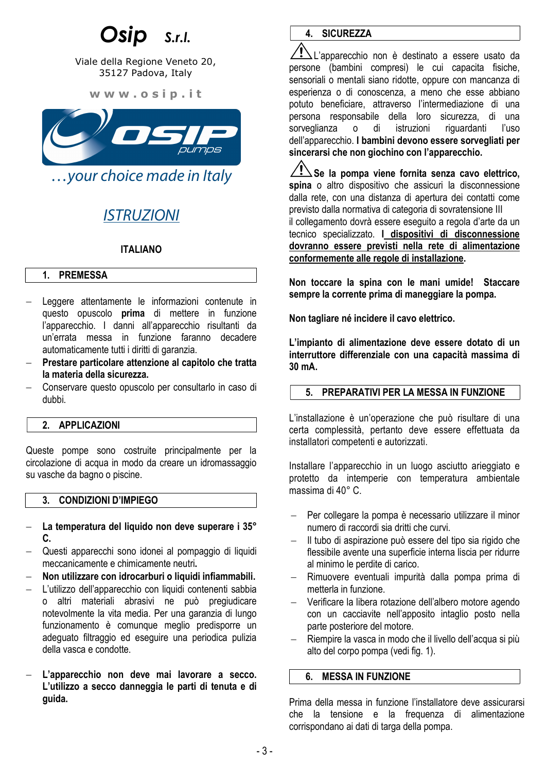## $S.r.l.$

Viale della Regione Veneto 20, 35127 Padova, Italy

w w w . o s i p . i t



…your choice made in Italy

## ISTRUZIONI

## ITALIANO

#### 1. PREMESSA

- Leggere attentamente le informazioni contenute in questo opuscolo prima di mettere in funzione l'apparecchio. I danni all'apparecchio risultanti da un'errata messa in funzione faranno decadere automaticamente tutti i diritti di garanzia.
- Prestare particolare attenzione al capitolo che tratta la materia della sicurezza.
- Conservare questo opuscolo per consultarlo in caso di dubbi.

## 2. APPLICAZIONI

Queste pompe sono costruite principalmente per la circolazione di acqua in modo da creare un idromassaggio su vasche da bagno o piscine.

## 3. CONDIZIONI D'IMPIEGO

- La temperatura del liquido non deve superare i 35° C.
- Questi apparecchi sono idonei al pompaggio di liquidi meccanicamente e chimicamente neutri.
- Non utilizzare con idrocarburi o liquidi infiammabili.
- L'utilizzo dell'apparecchio con liquidi contenenti sabbia o altri materiali abrasivi ne può pregiudicare notevolmente la vita media. Per una garanzia di lungo funzionamento è comunque meglio predisporre un adeguato filtraggio ed eseguire una periodica pulizia della vasca e condotte.
- L'apparecchio non deve mai lavorare a secco. L'utilizzo a secco danneggia le parti di tenuta e di guida.

## 4. SICUREZZA

 $\Delta$ L'apparecchio non è destinato a essere usato da persone (bambini compresi) le cui capacita fisiche, sensoriali o mentali siano ridotte, oppure con mancanza di esperienza o di conoscenza, a meno che esse abbiano potuto beneficiare, attraverso l'intermediazione di una persona responsabile della loro sicurezza, di una sorveglianza o di istruzioni riguardanti l'uso dell'apparecchio. I bambini devono essere sorvegliati per sincerarsi che non giochino con l'apparecchio.

 $\Delta$ Se la pompa viene fornita senza cavo elettrico, spina o altro dispositivo che assicuri la disconnessione dalla rete, con una distanza di apertura dei contatti come previsto dalla normativa di categoria di sovratensione III il collegamento dovrà essere eseguito a regola d'arte da un tecnico specializzato. I dispositivi di disconnessione dovranno essere previsti nella rete di alimentazione conformemente alle regole di installazione.

Non toccare la spina con le mani umide! Staccare sempre la corrente prima di maneggiare la pompa.

Non tagliare né incidere il cavo elettrico.

L'impianto di alimentazione deve essere dotato di un interruttore differenziale con una capacità massima di 30 mA.

## 5. PREPARATIVI PER LA MESSA IN FUNZIONE

L'installazione è un'operazione che può risultare di una certa complessità, pertanto deve essere effettuata da installatori competenti e autorizzati.

Installare l'apparecchio in un luogo asciutto arieggiato e protetto da intemperie con temperatura ambientale massima di 40° C.

- Per collegare la pompa è necessario utilizzare il minor numero di raccordi sia dritti che curvi.
- Il tubo di aspirazione può essere del tipo sia rigido che flessibile avente una superficie interna liscia per ridurre al minimo le perdite di carico.
- Rimuovere eventuali impurità dalla pompa prima di metterla in funzione.
- Verificare la libera rotazione dell'albero motore agendo con un cacciavite nell'apposito intaglio posto nella parte posteriore del motore.
- Riempire la vasca in modo che il livello dell'acqua si più alto del corpo pompa (vedi fig. 1).

#### 6. MESSA IN FUNZIONE

Prima della messa in funzione l'installatore deve assicurarsi che la tensione e la frequenza di alimentazione corrispondano ai dati di targa della pompa.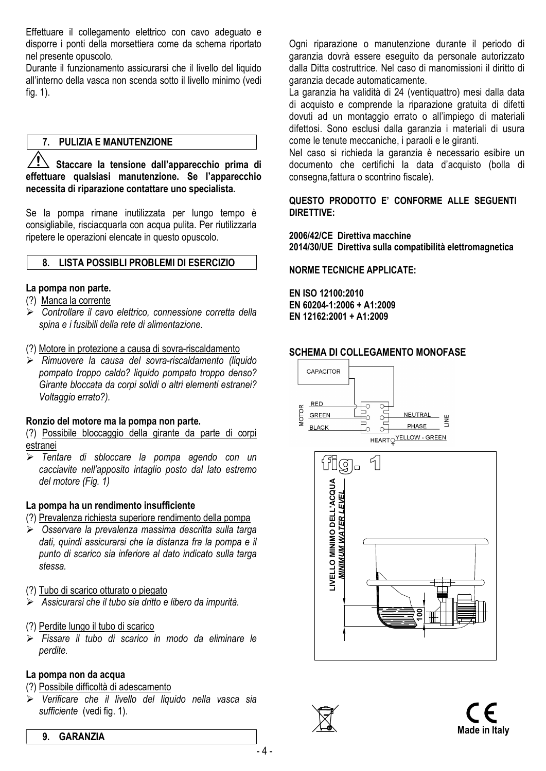Effettuare il collegamento elettrico con cavo adeguato e disporre i ponti della morsettiera come da schema riportato nel presente opuscolo.

Durante il funzionamento assicurarsi che il livello del liquido all'interno della vasca non scenda sotto il livello minimo (vedi fig. 1).

#### 7. PULIZIA E MANUTENZIONE

 $\overline{\mathbb{R}}$  Staccare la tensione dall'apparecchio prima di effettuare qualsiasi manutenzione. Se l'apparecchio necessita di riparazione contattare uno specialista.

Se la pompa rimane inutilizzata per lungo tempo è consigliabile, risciacquarla con acqua pulita. Per riutilizzarla ripetere le operazioni elencate in questo opuscolo.

#### 8. LISTA POSSIBLI PROBLEMI DI ESERCIZIO

#### La pompa non parte.

- (?) Manca la corrente
- Controllare il cavo elettrico, connessione corretta della spina e i fusibili della rete di alimentazione.
- (?) Motore in protezione a causa di sovra-riscaldamento
- $\triangleright$  Rimuovere la causa del sovra-riscaldamento (liquido pompato troppo caldo? liquido pompato troppo denso? Girante bloccata da corpi solidi o altri elementi estranei? Voltaggio errato?).

#### Ronzio del motore ma la pompa non parte.

(?) Possibile bloccaggio della girante da parte di corpi estranei

> Tentare di sbloccare la pompa agendo con un cacciavite nell'apposito intaglio posto dal lato estremo del motore (Fig. 1)

#### La pompa ha un rendimento insufficiente

- (?) Prevalenza richiesta superiore rendimento della pompa
- ▶ Osservare la prevalenza massima descritta sulla targa dati, quindi assicurarsi che la distanza fra la pompa e il punto di scarico sia inferiore al dato indicato sulla targa stessa.
- (?) Tubo di scarico otturato o piegato
- $\triangleright$  Assicurarsi che il tubo sia dritto e libero da impurità.
- (?) Perdite lungo il tubo di scarico
- $\triangleright$  Fissare il tubo di scarico in modo da eliminare le perdite.

## La pompa non da acqua

- (?) Possibile difficoltà di adescamento
- $\triangleright$  Verificare che il livello del liquido nella vasca sia sufficiente (vedi fig. 1).

Ogni riparazione o manutenzione durante il periodo di garanzia dovrà essere eseguito da personale autorizzato dalla Ditta costruttrice. Nel caso di manomissioni il diritto di garanzia decade automaticamente.

La garanzia ha validità di 24 (ventiquattro) mesi dalla data di acquisto e comprende la riparazione gratuita di difetti dovuti ad un montaggio errato o all'impiego di materiali difettosi. Sono esclusi dalla garanzia i materiali di usura come le tenute meccaniche, i paraoli e le giranti.

Nel caso si richieda la garanzia è necessario esibire un documento che certifichi la data d'acquisto (bolla di consegna,fattura o scontrino fiscale).

### QUESTO PRODOTTO E' CONFORME ALLE SEGUENTI DIRETTIVE:

2006/42/CE Direttiva macchine 2014/30/UE Direttiva sulla compatibilità elettromagnetica

#### NORME TECNICHE APPLICATE:

EN ISO 12100:2010 EN 60204-1:2006 + A1:2009 EN 12162:2001 + A1:2009

#### SCHEMA DI COLLEGAMENTO MONOFASE





#### 9. GARANZIA